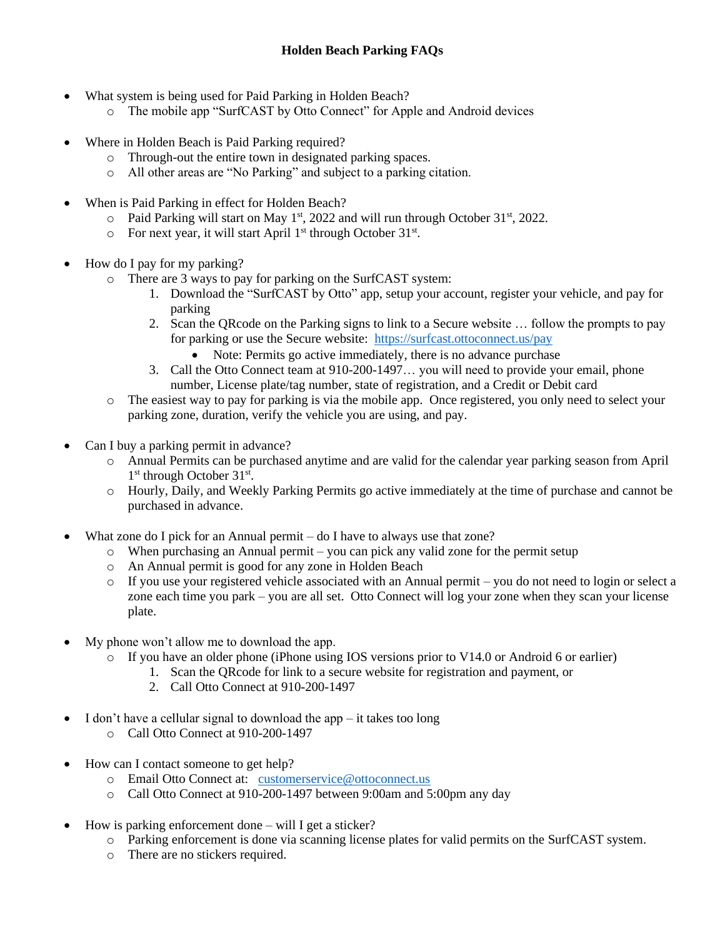- What system is being used for Paid Parking in Holden Beach?
	- o The mobile app "SurfCAST by Otto Connect" for Apple and Android devices
- Where in Holden Beach is Paid Parking required?
	- o Through-out the entire town in designated parking spaces.
	- o All other areas are "No Parking" and subject to a parking citation.
- When is Paid Parking in effect for Holden Beach?
	- $\circ$  Paid Parking will start on May 1<sup>st</sup>, 2022 and will run through October 31<sup>st</sup>, 2022.
	- o For next year, it will start April 1<sup>st</sup> through October 31<sup>st</sup>.
- How do I pay for my parking?
	- o There are 3 ways to pay for parking on the SurfCAST system:
		- 1. Download the "SurfCAST by Otto" app, setup your account, register your vehicle, and pay for parking
		- 2. Scan the QRcode on the Parking signs to link to a Secure website … follow the prompts to pay for parking or use the Secure website: <https://surfcast.ottoconnect.us/pay>
			- Note: Permits go active immediately, there is no advance purchase
		- 3. Call the Otto Connect team at 910-200-1497… you will need to provide your email, phone number, License plate/tag number, state of registration, and a Credit or Debit card
	- o The easiest way to pay for parking is via the mobile app. Once registered, you only need to select your parking zone, duration, verify the vehicle you are using, and pay.
- Can I buy a parking permit in advance?
	- o Annual Permits can be purchased anytime and are valid for the calendar year parking season from April 1<sup>st</sup> through October 31<sup>st</sup>.
	- o Hourly, Daily, and Weekly Parking Permits go active immediately at the time of purchase and cannot be purchased in advance.
- What zone do I pick for an Annual permit do I have to always use that zone?
	- $\circ$  When purchasing an Annual permit you can pick any valid zone for the permit setup
	- o An Annual permit is good for any zone in Holden Beach
	- o If you use your registered vehicle associated with an Annual permit you do not need to login or select a zone each time you park – you are all set. Otto Connect will log your zone when they scan your license plate.
- My phone won't allow me to download the app.
	- o If you have an older phone (iPhone using IOS versions prior to V14.0 or Android 6 or earlier)
		- 1. Scan the QRcode for link to a secure website for registration and payment, or
		- 2. Call Otto Connect at 910-200-1497
- I don't have a cellular signal to download the app  $-$  it takes too long
	- o Call Otto Connect at 910-200-1497
- How can I contact someone to get help?
	- o Email Otto Connect at: [customerservice@ottoconnect.us](mailto:customerservice@ottoconnect.us)
	- o Call Otto Connect at 910-200-1497 between 9:00am and 5:00pm any day
- How is parking enforcement done will I get a sticker?
	- o Parking enforcement is done via scanning license plates for valid permits on the SurfCAST system.
	- o There are no stickers required.